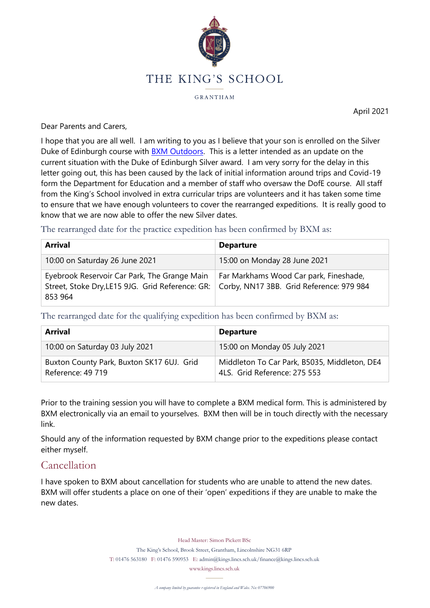

GRANTHAM

April 2021

Dear Parents and Carers,

I hope that you are all well. I am writing to you as I believe that your son is enrolled on the Silver Duke of Edinburgh course with **BXM Outdoors**. This is a letter intended as an update on the current situation with the Duke of Edinburgh Silver award. I am very sorry for the delay in this letter going out, this has been caused by the lack of initial information around trips and Covid-19 form the Department for Education and a member of staff who oversaw the DofE course. All staff from the King's School involved in extra curricular trips are volunteers and it has taken some time to ensure that we have enough volunteers to cover the rearranged expeditions. It is really good to know that we are now able to offer the new Silver dates.

The rearranged date for the practice expedition has been confirmed by BXM as:

| <b>Arrival</b>                                                                                                                                         | <b>Departure</b>                       |
|--------------------------------------------------------------------------------------------------------------------------------------------------------|----------------------------------------|
| 10:00 on Saturday 26 June 2021                                                                                                                         | 15:00 on Monday 28 June 2021           |
| Eyebrook Reservoir Car Park, The Grange Main<br>Street, Stoke Dry, LE15 9JG. Grid Reference: GR:   Corby, NN17 3BB. Grid Reference: 979 984<br>853 964 | Far Markhams Wood Car park, Fineshade, |

The rearranged date for the qualifying expedition has been confirmed by BXM as:

| Arrival                                                        | <b>Departure</b>                                                             |
|----------------------------------------------------------------|------------------------------------------------------------------------------|
| 10:00 on Saturday 03 July 2021                                 | 15:00 on Monday 05 July 2021                                                 |
| Buxton County Park, Buxton SK17 6UJ. Grid<br>Reference: 49 719 | Middleton To Car Park, B5035, Middleton, DE4<br>4LS. Grid Reference: 275 553 |

Prior to the training session you will have to complete a BXM medical form. This is administered by BXM electronically via an email to yourselves. BXM then will be in touch directly with the necessary link.

Should any of the information requested by BXM change prior to the expeditions please contact either myself.

## Cancellation

I have spoken to BXM about cancellation for students who are unable to attend the new dates. BXM will offer students a place on one of their 'open' expeditions if they are unable to make the new dates.

Head Master: Simon Pickett BSc

The King's School, Brook Street, Grantham, Lincolnshire NG31 6RP

T: 01476 563180 F: 01476 590953 E: admin@kings.lincs.sch.uk/finance@kings.lincs.sch.uk

www.kings.lincs.sch.uk